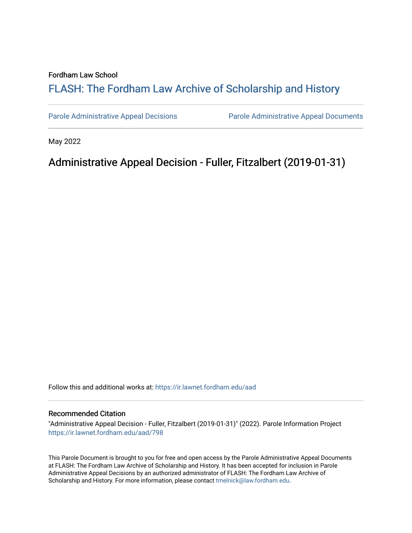#### Fordham Law School

# FLASH: The For[dham Law Archive of Scholarship and Hist](https://ir.lawnet.fordham.edu/)ory

[Parole Administrative Appeal Decisions](https://ir.lawnet.fordham.edu/aad) [Parole Administrative Appeal Documents](https://ir.lawnet.fordham.edu/ad_app_docs) 

May 2022

# Administrative Appeal Decision - Fuller, Fitzalbert (2019-01-31)

Follow this and additional works at: [https://ir.lawnet.fordham.edu/aad](https://ir.lawnet.fordham.edu/aad?utm_source=ir.lawnet.fordham.edu%2Faad%2F798&utm_medium=PDF&utm_campaign=PDFCoverPages) 

#### Recommended Citation

"Administrative Appeal Decision - Fuller, Fitzalbert (2019-01-31)" (2022). Parole Information Project [https://ir.lawnet.fordham.edu/aad/798](https://ir.lawnet.fordham.edu/aad/798?utm_source=ir.lawnet.fordham.edu%2Faad%2F798&utm_medium=PDF&utm_campaign=PDFCoverPages) 

This Parole Document is brought to you for free and open access by the Parole Administrative Appeal Documents at FLASH: The Fordham Law Archive of Scholarship and History. It has been accepted for inclusion in Parole Administrative Appeal Decisions by an authorized administrator of FLASH: The Fordham Law Archive of Scholarship and History. For more information, please contact [tmelnick@law.fordham.edu](mailto:tmelnick@law.fordham.edu).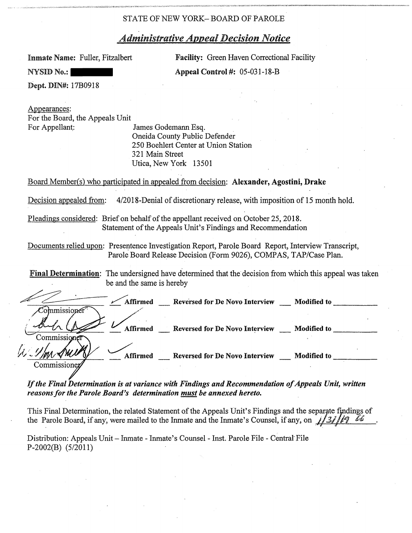# *Administrative Appeal Decision Notice*

**Inmate Name:** Fuller, Fitzalbert Facility: Green Haven Correctional Facility **NYSID No.: Appeal Control #:** 05-031-18-B

Dept. DIN#: l 7B0918

Appearances: For the Board, the Appeals Unit For Appellant: James Godemann Esq. Oneida County Public Defender 250 Boehlert Center at Union Station 321 Main Street Utica, New York 13501

Board Member(s) who participated in appealed from decision: Alexander, Agostini, **Drake** 

Decision appealed from: 4/2018-Denial of discretionary release, with imposition of 15 month hold.

Pleadings considered: Brief on behalf of the appellant received on October 25, 2018. Statement of the Appeals Unit's Findings and Recommendation

Documents relied upon: Presentence Investigation Report, Parole Board Report, Interview Transcript, Parole Board Release Decision (Form 9026), COMPAS, TAP/Case Plan.

|                                           | Final Determination: The undersigned have determined that the decision from which this appeal was taken |  |
|-------------------------------------------|---------------------------------------------------------------------------------------------------------|--|
| be and the same is hereby                 |                                                                                                         |  |
| Commissioner                              | Affirmed Reversed for De Novo Interview<br>Modified to                                                  |  |
| Commissioner                              | Affirmed Reversed for De Novo Interview<br><b>Modified to</b>                                           |  |
| $U$ . $U$ ion<br>Affirmed<br>Commissioner | <b>Reversed for De Novo Interview</b><br><b>Modified to</b>                                             |  |

If the Final Determination is at variance with Findings and Recommendation of Appeals Unit, written *reasons for the Parole Board's determination must be annexed hereto.* 

This Final Determination, the related Statement of the Appeals Unit's Findings and the separate findings of the Parole Board, if any, were mailed to the Inmate and the Inmate's Counsel, if any, on *1/3i/19* 

Distribution: Appeals Unit- Inmate - Inmate's Counsel - Inst. Parole File - Central File P-2Q02(B) (5/2011)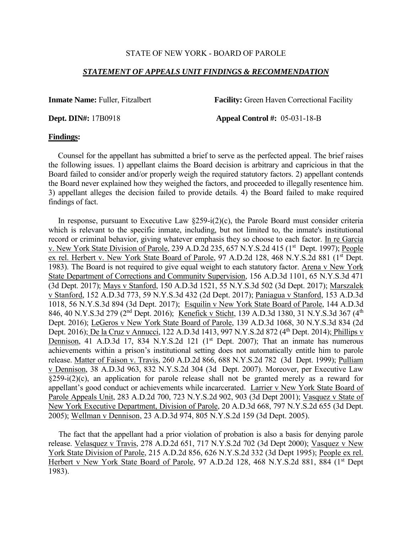### *STATEMENT OF APPEALS UNIT FINDINGS & RECOMMENDATION*

**Inmate Name:** Fuller, Fitzalbert **Facility:** Green Haven Correctional Facility

**Dept. DIN#:** 17B0918 **Appeal Control #:** 05-031-18-B

#### **Findings:**

 Counsel for the appellant has submitted a brief to serve as the perfected appeal. The brief raises the following issues. 1) appellant claims the Board decision is arbitrary and capricious in that the Board failed to consider and/or properly weigh the required statutory factors. 2) appellant contends the Board never explained how they weighed the factors, and proceeded to illegally resentence him. 3) appellant alleges the decision failed to provide details. 4) the Board failed to make required findings of fact.

In response, pursuant to Executive Law  $\S259-i(2)(c)$ , the Parole Board must consider criteria which is relevant to the specific inmate, including, but not limited to, the inmate's institutional record or criminal behavior, giving whatever emphasis they so choose to each factor. In re Garcia v. New York State Division of Parole, 239 A.D.2d 235, 657 N.Y.S.2d 415 (1<sup>st</sup> Dept. 1997); People ex rel. Herbert v. New York State Board of Parole, 97 A.D.2d 128, 468 N.Y.S.2d 881 (1<sup>st</sup> Dept.) 1983). The Board is not required to give equal weight to each statutory factor. Arena v New York State Department of Corrections and Community Supervision, 156 A.D.3d 1101, 65 N.Y.S.3d 471 (3d Dept. 2017); Mays v Stanford, 150 A.D.3d 1521, 55 N.Y.S.3d 502 (3d Dept. 2017); Marszalek v Stanford, 152 A.D.3d 773, 59 N.Y.S.3d 432 (2d Dept. 2017); Paniagua v Stanford, 153 A.D.3d 1018, 56 N.Y.S.3d 894 (3d Dept. 2017); Esquilin v New York State Board of Parole, 144 A.D.3d 846, 40 N.Y.S.3d 279 (2<sup>nd</sup> Dept. 2016); Kenefick v Sticht, 139 A.D.3d 1380, 31 N.Y.S.3d 367 (4<sup>th</sup> Dept. 2016); LeGeros v New York State Board of Parole, 139 A.D.3d 1068, 30 N.Y.S.3d 834 (2d Dept. 2016); De la Cruz v Annucci, 122 A.D.3d 1413, 997 N.Y.S.2d 872 (4<sup>th</sup> Dept. 2014); Phillips v Dennison, 41 A.D.3d 17, 834 N.Y.S.2d 121  $(1<sup>st</sup>$  Dept. 2007); That an inmate has numerous achievements within a prison's institutional setting does not automatically entitle him to parole release. Matter of Faison v. Travis, 260 A.D.2d 866, 688 N.Y.S.2d 782 (3d Dept. 1999); Pulliam v Dennison, 38 A.D.3d 963, 832 N.Y.S.2d 304 (3d Dept. 2007). Moreover, per Executive Law  $\S259-i(2)(c)$ , an application for parole release shall not be granted merely as a reward for appellant's good conduct or achievements while incarcerated. Larrier v New York State Board of Parole Appeals Unit, 283 A.D.2d 700, 723 N.Y.S.2d 902, 903 (3d Dept 2001); Vasquez v State of New York Executive Department, Division of Parole, 20 A.D.3d 668, 797 N.Y.S.2d 655 (3d Dept. 2005); Wellman v Dennison, 23 A.D.3d 974, 805 N.Y.S.2d 159 (3d Dept. 2005).

 The fact that the appellant had a prior violation of probation is also a basis for denying parole release. Velasquez v Travis, 278 A.D.2d 651, 717 N.Y.S.2d 702 (3d Dept 2000); Vasquez v New York State Division of Parole, 215 A.D.2d 856, 626 N.Y.S.2d 332 (3d Dept 1995); People ex rel. Herbert v New York State Board of Parole, 97 A.D.2d 128, 468 N.Y.S.2d 881, 884 (1st Dept 1983).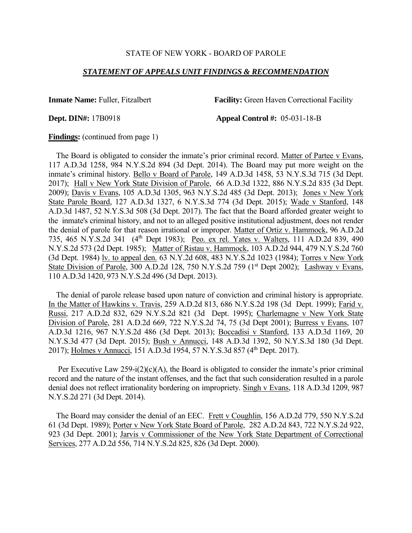#### *STATEMENT OF APPEALS UNIT FINDINGS & RECOMMENDATION*

**Inmate Name:** Fuller, Fitzalbert **Facility:** Green Haven Correctional Facility

**Dept. DIN#:** 17B0918 **Appeal Control #:** 05-031-18-B

#### **Findings:** (continued from page 1)

 The Board is obligated to consider the inmate's prior criminal record. Matter of Partee v Evans, 117 A.D.3d 1258, 984 N.Y.S.2d 894 (3d Dept. 2014). The Board may put more weight on the inmate's criminal history. Bello v Board of Parole, 149 A.D.3d 1458, 53 N.Y.S.3d 715 (3d Dept. 2017); Hall v New York State Division of Parole, 66 A.D.3d 1322, 886 N.Y.S.2d 835 (3d Dept. 2009); Davis v Evans, 105 A.D.3d 1305, 963 N.Y.S.2d 485 (3d Dept. 2013); Jones v New York State Parole Board, 127 A.D.3d 1327, 6 N.Y.S.3d 774 (3d Dept. 2015); Wade v Stanford, 148 A.D.3d 1487, 52 N.Y.S.3d 508 (3d Dept. 2017). The fact that the Board afforded greater weight to the inmate's criminal history, and not to an alleged positive institutional adjustment, does not render the denial of parole for that reason irrational or improper. Matter of Ortiz v. Hammock, 96 A.D.2d 735, 465 N.Y.S.2d 341 (4th Dept 1983); Peo. ex rel. Yates v. Walters, 111 A.D.2d 839, 490 N.Y.S.2d 573 (2d Dept. 1985); Matter of Ristau v. Hammock, 103 A.D.2d 944, 479 N.Y.S.2d 760 (3d Dept. 1984) lv. to appeal den. 63 N.Y.2d 608, 483 N.Y.S.2d 1023 (1984); Torres v New York State Division of Parole, 300 A.D.2d 128, 750 N.Y.S.2d 759  $(1<sup>st</sup>$  Dept 2002); Lashway v Evans, 110 A.D.3d 1420, 973 N.Y.S.2d 496 (3d Dept. 2013).

 The denial of parole release based upon nature of conviction and criminal history is appropriate. In the Matter of Hawkins v. Travis, 259 A.D.2d 813, 686 N.Y.S.2d 198 (3d Dept. 1999); Farid v. Russi, 217 A.D.2d 832, 629 N.Y.S.2d 821 (3d Dept. 1995); Charlemagne v New York State Division of Parole, 281 A.D.2d 669, 722 N.Y.S.2d 74, 75 (3d Dept 2001); Burress v Evans, 107 A.D.3d 1216, 967 N.Y.S.2d 486 (3d Dept. 2013); Boccadisi v Stanford, 133 A.D.3d 1169, 20 N.Y.S.3d 477 (3d Dept. 2015); Bush v Annucci, 148 A.D.3d 1392, 50 N.Y.S.3d 180 (3d Dept. 2017); Holmes v Annucci, 151 A.D.3d 1954, 57 N.Y.S.3d 857 (4<sup>th</sup> Dept. 2017).

 Per Executive Law 259-i(2)(c)(A), the Board is obligated to consider the inmate's prior criminal record and the nature of the instant offenses, and the fact that such consideration resulted in a parole denial does not reflect irrationality bordering on impropriety. Singh v Evans, 118 A.D.3d 1209, 987 N.Y.S.2d 271 (3d Dept. 2014).

 The Board may consider the denial of an EEC. Frett v Coughlin, 156 A.D.2d 779, 550 N.Y.S.2d 61 (3d Dept. 1989); Porter v New York State Board of Parole, 282 A.D.2d 843, 722 N.Y.S.2d 922, 923 (3d Dept. 2001); Jarvis v Commissioner of the New York State Department of Correctional Services, 277 A.D.2d 556, 714 N.Y.S.2d 825, 826 (3d Dept. 2000).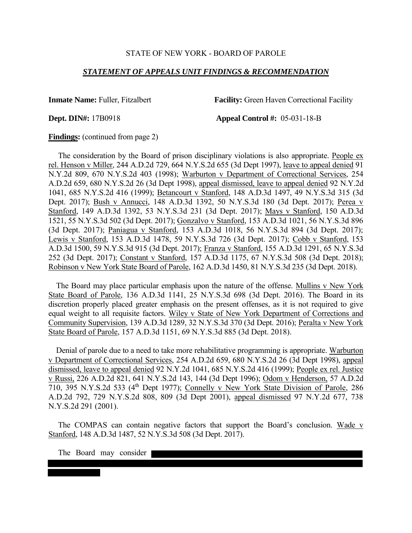#### *STATEMENT OF APPEALS UNIT FINDINGS & RECOMMENDATION*

**Inmate Name:** Fuller, Fitzalbert **Facility:** Green Haven Correctional Facility

**Dept. DIN#:** 17B0918 **Appeal Control #:** 05-031-18-B

**Findings:** (continued from page 2)

 The consideration by the Board of prison disciplinary violations is also appropriate. People ex rel. Henson v Miller, 244 A.D.2d 729, 664 N.Y.S.2d 655 (3d Dept 1997), leave to appeal denied 91 N.Y.2d 809, 670 N.Y.S.2d 403 (1998); Warburton v Department of Correctional Services, 254 A.D.2d 659, 680 N.Y.S.2d 26 (3d Dept 1998), appeal dismissed, leave to appeal denied 92 N.Y.2d 1041, 685 N.Y.S.2d 416 (1999); Betancourt v Stanford, 148 A.D.3d 1497, 49 N.Y.S.3d 315 (3d Dept. 2017); Bush v Annucci, 148 A.D.3d 1392, 50 N.Y.S.3d 180 (3d Dept. 2017); Perea v Stanford, 149 A.D.3d 1392, 53 N.Y.S.3d 231 (3d Dept. 2017); Mays v Stanford, 150 A.D.3d 1521, 55 N.Y.S.3d 502 (3d Dept. 2017); Gonzalvo v Stanford, 153 A.D.3d 1021, 56 N.Y.S.3d 896 (3d Dept. 2017); Paniagua v Stanford, 153 A.D.3d 1018, 56 N.Y.S.3d 894 (3d Dept. 2017); Lewis v Stanford, 153 A.D.3d 1478, 59 N.Y.S.3d 726 (3d Dept. 2017); Cobb v Stanford, 153 A.D.3d 1500, 59 N.Y.S.3d 915 (3d Dept. 2017); Franza v Stanford, 155 A.D.3d 1291, 65 N.Y.S.3d 252 (3d Dept. 2017); Constant v Stanford, 157 A.D.3d 1175, 67 N.Y.S.3d 508 (3d Dept. 2018); Robinson v New York State Board of Parole, 162 A.D.3d 1450, 81 N.Y.S.3d 235 (3d Dept. 2018).

 The Board may place particular emphasis upon the nature of the offense. Mullins v New York State Board of Parole, 136 A.D.3d 1141, 25 N.Y.S.3d 698 (3d Dept. 2016). The Board in its discretion properly placed greater emphasis on the present offenses, as it is not required to give equal weight to all requisite factors. Wiley v State of New York Department of Corrections and Community Supervision, 139 A.D.3d 1289, 32 N.Y.S.3d 370 (3d Dept. 2016); Peralta v New York State Board of Parole, 157 A.D.3d 1151, 69 N.Y.S.3d 885 (3d Dept. 2018).

 Denial of parole due to a need to take more rehabilitative programming is appropriate. Warburton v Department of Correctional Services, 254 A.D.2d 659, 680 N.Y.S.2d 26 (3d Dept 1998), appeal dismissed, leave to appeal denied 92 N.Y.2d 1041, 685 N.Y.S.2d 416 (1999); People ex rel. Justice v Russi, 226 A.D.2d 821, 641 N.Y.S.2d 143, 144 (3d Dept 1996); Odom v Henderson, 57 A.D.2d 710, 395 N.Y.S.2d 533 (4th Dept 1977); Connelly v New York State Division of Parole, 286 A.D.2d 792, 729 N.Y.S.2d 808, 809 (3d Dept 2001), appeal dismissed 97 N.Y.2d 677, 738 N.Y.S.2d 291 (2001).

The COMPAS can contain negative factors that support the Board's conclusion. Wade v Stanford, 148 A.D.3d 1487, 52 N.Y.S.3d 508 (3d Dept. 2017).

The Board may consider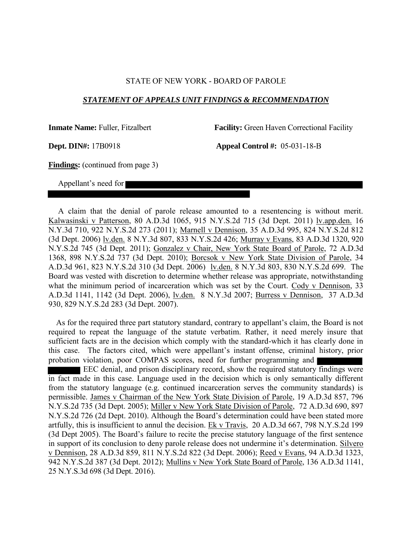#### *STATEMENT OF APPEALS UNIT FINDINGS & RECOMMENDATION*

**Inmate Name:** Fuller, Fitzalbert **Facility:** Green Haven Correctional Facility

**Dept. DIN#:** 17B0918 **Appeal Control #:** 05-031-18-B

**Findings:** (continued from page 3)

Appellant's need for

 A claim that the denial of parole release amounted to a resentencing is without merit. Kalwasinski v Patterson, 80 A.D.3d 1065, 915 N.Y.S.2d 715 (3d Dept. 2011) lv.app.den. 16 N.Y.3d 710, 922 N.Y.S.2d 273 (2011); Marnell v Dennison, 35 A.D.3d 995, 824 N.Y.S.2d 812 (3d Dept. 2006) lv.den. 8 N.Y.3d 807, 833 N.Y.S.2d 426; Murray v Evans, 83 A.D.3d 1320, 920 N.Y.S.2d 745 (3d Dept. 2011); Gonzalez v Chair, New York State Board of Parole, 72 A.D.3d 1368, 898 N.Y.S.2d 737 (3d Dept. 2010); Borcsok v New York State Division of Parole, 34 A.D.3d 961, 823 N.Y.S.2d 310 (3d Dept. 2006) lv.den. 8 N.Y.3d 803, 830 N.Y.S.2d 699. The Board was vested with discretion to determine whether release was appropriate, notwithstanding what the minimum period of incarceration which was set by the Court. Cody v Dennison, 33 A.D.3d 1141, 1142 (3d Dept. 2006), lv.den. 8 N.Y.3d 2007; Burress v Dennison, 37 A.D.3d 930, 829 N.Y.S.2d 283 (3d Dept. 2007).

 As for the required three part statutory standard, contrary to appellant's claim, the Board is not required to repeat the language of the statute verbatim. Rather, it need merely insure that sufficient facts are in the decision which comply with the standard-which it has clearly done in this case. The factors cited, which were appellant's instant offense, criminal history, prior probation violation, poor COMPAS scores, need for further programming and EEC denial, and prison disciplinary record, show the required statutory findings were in fact made in this case. Language used in the decision which is only semantically different from the statutory language (e.g. continued incarceration serves the community standards) is permissible. James v Chairman of the New York State Division of Parole, 19 A.D.3d 857, 796 N.Y.S.2d 735 (3d Dept. 2005); Miller v New York State Division of Parole, 72 A.D.3d 690, 897 N.Y.S.2d 726 (2d Dept. 2010). Although the Board's determination could have been stated more artfully, this is insufficient to annul the decision. Ek v Travis, 20 A.D.3d 667, 798 N.Y.S.2d 199 (3d Dept 2005). The Board's failure to recite the precise statutory language of the first sentence in support of its conclusion to deny parole release does not undermine it's determination. Silvero v Dennison, 28 A.D.3d 859, 811 N.Y.S.2d 822 (3d Dept. 2006); Reed v Evans, 94 A.D.3d 1323, 942 N.Y.S.2d 387 (3d Dept. 2012); Mullins v New York State Board of Parole, 136 A.D.3d 1141, 25 N.Y.S.3d 698 (3d Dept. 2016).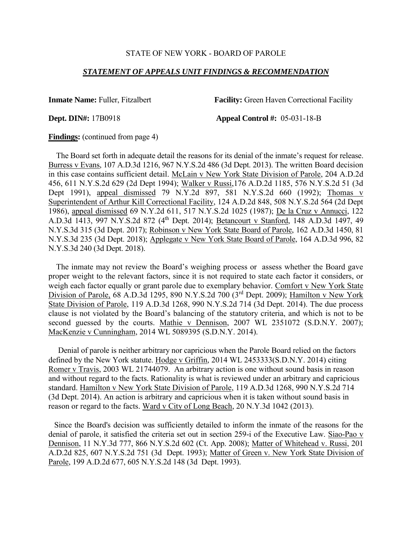#### *STATEMENT OF APPEALS UNIT FINDINGS & RECOMMENDATION*

**Inmate Name:** Fuller, Fitzalbert **Facility:** Green Haven Correctional Facility

**Dept. DIN#:** 17B0918 **Appeal Control #:** 05-031-18-B

**Findings:** (continued from page 4)

 The Board set forth in adequate detail the reasons for its denial of the inmate's request for release. Burress v Evans, 107 A.D.3d 1216, 967 N.Y.S.2d 486 (3d Dept. 2013). The written Board decision in this case contains sufficient detail. McLain v New York State Division of Parole, 204 A.D.2d 456, 611 N.Y.S.2d 629 (2d Dept 1994); Walker v Russi,176 A.D.2d 1185, 576 N.Y.S.2d 51 (3d Dept 1991), appeal dismissed 79 N.Y.2d 897, 581 N.Y.S.2d 660 (1992); Thomas v Superintendent of Arthur Kill Correctional Facility, 124 A.D.2d 848, 508 N.Y.S.2d 564 (2d Dept 1986), appeal dismissed 69 N.Y.2d 611, 517 N.Y.S.2d 1025 (1987); De la Cruz v Annucci, 122 A.D.3d 1413, 997 N.Y.S.2d 872 (4<sup>th</sup> Dept. 2014); Betancourt v Stanford, 148 A.D.3d 1497, 49 N.Y.S.3d 315 (3d Dept. 2017); Robinson v New York State Board of Parole, 162 A.D.3d 1450, 81 N.Y.S.3d 235 (3d Dept. 2018); Applegate v New York State Board of Parole, 164 A.D.3d 996, 82 N.Y.S.3d 240 (3d Dept. 2018).

 The inmate may not review the Board's weighing process or assess whether the Board gave proper weight to the relevant factors, since it is not required to state each factor it considers, or weigh each factor equally or grant parole due to exemplary behavior. Comfort v New York State Division of Parole, 68 A.D.3d 1295, 890 N.Y.S.2d 700 (3rd Dept. 2009); Hamilton v New York State Division of Parole, 119 A.D.3d 1268, 990 N.Y.S.2d 714 (3d Dept. 2014). The due process clause is not violated by the Board's balancing of the statutory criteria, and which is not to be second guessed by the courts. Mathie v Dennison, 2007 WL 2351072 (S.D.N.Y. 2007); MacKenzie v Cunningham, 2014 WL 5089395 (S.D.N.Y. 2014).

 Denial of parole is neither arbitrary nor capricious when the Parole Board relied on the factors defined by the New York statute. Hodge v Griffin, 2014 WL 2453333(S.D.N.Y. 2014) citing Romer v Travis, 2003 WL 21744079. An arbitrary action is one without sound basis in reason and without regard to the facts. Rationality is what is reviewed under an arbitrary and capricious standard. Hamilton v New York State Division of Parole, 119 A.D.3d 1268, 990 N.Y.S.2d 714 (3d Dept. 2014). An action is arbitrary and capricious when it is taken without sound basis in reason or regard to the facts. Ward v City of Long Beach, 20 N.Y.3d 1042 (2013).

 Since the Board's decision was sufficiently detailed to inform the inmate of the reasons for the denial of parole, it satisfied the criteria set out in section 259-i of the Executive Law. Siao-Pao v Dennison, 11 N.Y.3d 777, 866 N.Y.S.2d 602 (Ct. App. 2008); Matter of Whitehead v. Russi, 201 A.D.2d 825, 607 N.Y.S.2d 751 (3d Dept. 1993); Matter of Green v. New York State Division of Parole, 199 A.D.2d 677, 605 N.Y.S.2d 148 (3d Dept. 1993).